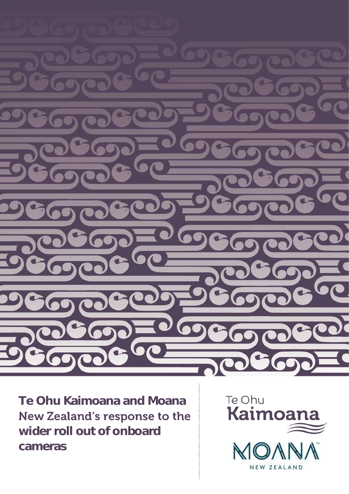

Te Ohu Kaimoana and Moana New Zealand's response to the wider roll out of onboard cameras

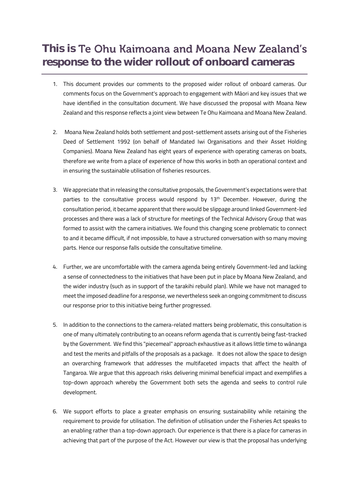# This is Te Ohu Kaimoana and Moana New Zealand's response to the wider rollout of onboard cameras

- 1. This document provides our comments to the proposed wider rollout of onboard cameras. Our comments focus on the Government's approach to engagement with Māori and key issues that we have identified in the consultation document. We have discussed the proposal with Moana New Zealand and this response reflects a joint view between Te Ohu Kaimoana and Moana New Zealand.
- 2. Moana New Zealand holds both settlement and post-settlement assets arising out of the Fisheries Deed of Settlement 1992 (on behalf of Mandated Iwi Organisations and their Asset Holding Companies). Moana New Zealand has eight years of experience with operating cameras on boats, therefore we write from a place of experience of how this works in both an operational context and in ensuring the sustainable utilisation of fisheries resources.
- 3. We appreciate that in releasing the consultative proposals, the Government's expectations were that parties to the consultative process would respond by 13<sup>th</sup> December. However, during the consultation period, it became apparent that there would be slippage around linked Government-led processes and there was a lack of structure for meetings of the Technical Advisory Group that was formed to assist with the camera initiatives. We found this changing scene problematic to connect to and it became difficult, if not impossible, to have a structured conversation with so many moving parts. Hence our response falls outside the consultative timeline.
- 4. Further, we are uncomfortable with the camera agenda being entirely Government-led and lacking a sense of connectedness to the initiatives that have been put in place by Moana New Zealand, and the wider industry (such as in support of the tarakihi rebuild plan). While we have not managed to meet the imposed deadline for a response, we nevertheless seek an ongoing commitment to discuss our response prior to this initiative being further progressed.
- 5. In addition to the connections to the camera-related matters being problematic, this consultation is one of many ultimately contributing to an oceans reform agenda that is currently being fast-tracked by the Government. We find this "piecemeal" approach exhaustive as it allows little time to wānanga and test the merits and pitfalls of the proposals as a package. It does not allow the space to design an overarching framework that addresses the multifaceted impacts that affect the health of Tangaroa. We argue that this approach risks delivering minimal beneficial impact and exemplifies a top-down approach whereby the Government both sets the agenda and seeks to control rule development.
- 6. We support efforts to place a greater emphasis on ensuring sustainability while retaining the requirement to provide for utilisation. The definition of utilisation under the Fisheries Act speaks to an enabling rather than a top-down approach. Our experience is that there is a place for cameras in achieving that part of the purpose of the Act. However our view is that the proposal has underlying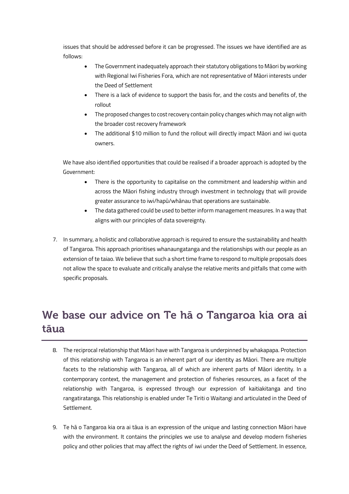issues that should be addressed before it can be progressed. The issues we have identified are as follows:

- The Government inadequately approach their statutory obligations to Māori by working with Regional Iwi Fisheries Fora, which are not representative of Māori interests under the Deed of Settlement
- There is a lack of evidence to support the basis for, and the costs and benefits of, the rollout
- The proposed changes to cost recovery contain policy changes which may not align with the broader cost recovery framework
- The additional \$10 million to fund the rollout will directly impact Māori and iwi quota owners.

We have also identified opportunities that could be realised if a broader approach is adopted by the Government:

- There is the opportunity to capitalise on the commitment and leadership within and across the Māori fishing industry through investment in technology that will provide greater assurance to iwi/hapū/whānau that operations are sustainable.
- The data gathered could be used to better inform management measures. In a way that aligns with our principles of data sovereignty.
- 7. In summary, a holistic and collaborative approach is required to ensure the sustainability and health of Tangaroa. This approach prioritises whanaungatanga and the relationships with our people as an extension of te taiao. We believe that such a short time frame to respond to multiple proposals does not allow the space to evaluate and critically analyse the relative merits and pitfalls that come with specific proposals.

# We base our advice on Te ha o Tangaroa kia ora ai tāua

- 8. The reciprocal relationship that Māori have with Tangaroa is underpinned by whakapapa. Protection of this relationship with Tangaroa is an inherent part of our identity as Māori. There are multiple facets to the relationship with Tangaroa, all of which are inherent parts of Māori identity. In a contemporary context, the management and protection of fisheries resources, as a facet of the relationship with Tangaroa, is expressed through our expression of kaitiakitanga and tino rangatiratanga. This relationship is enabled under Te Tiriti o Waitangi and articulated in the Deed of Settlement.
- 9. Te hā o Tangaroa kia ora ai tāua is an expression of the unique and lasting connection Māori have with the environment. It contains the principles we use to analyse and develop modern fisheries policy and other policies that may affect the rights of iwi under the Deed of Settlement. In essence,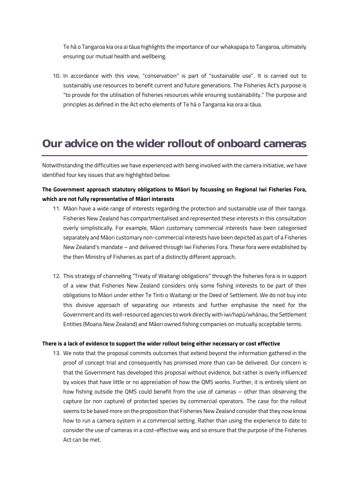Te hā o Tangaroa kia ora ai tāua highlights the importance of our whakapapa to Tangaroa, ultimately ensuring our mutual health and wellbeing.

10. In accordance with this view, "conservation" is part of "sustainable use". It is carried out to sustainably use resources to benefit current and future generations. The Fisheries Act's purpose is "to provide for the utilisation of fisheries resources while ensuring sustainability." The purpose and principles as defined in the Act echo elements of Te hā o Tangaroa kia ora ai tāua.

## Our advice on the wider rollout of onboard cameras

Notwithstanding the difficulties we have experienced with being involved with the camera initiative, we have identified four key issues that are highlighted below:

### **The Government approach statutory obligations to Māori by focussing on Regional Iwi Fisheries Fora, which are not fully representative of Māori interests**

- 11. Māori have a wide range of interests regarding the protection and sustainable use of their taonga. Fisheries New Zealand has compartmentalised and represented these interests in this consultation overly simplistically. For example, Māori customary commercial interests have been categorised separately and Māori customary non-commercial interests have been depicted as part of a Fisheries New Zealand's mandate – and delivered through Iwi Fisheries Fora. These fora were established by the then Ministry of Fisheries as part of a distinctly different approach.
- 12. This strategy of channelling "Treaty of Waitangi obligations" through the fisheries fora is in support of a view that Fisheries New Zealand considers only some fishing interests to be part of their obligations to Māori under either Te Tiriti o Waitangi or the Deed of Settlement. We do not buy into this divisive approach of separating our interests and further emphasise the need for the Government and its well-resourced agencies to work directly with iwi/hapū/whānau, the Settlement Entities (Moana New Zealand) and Māori owned fishing companies on mutually acceptable terms.

#### **There is a lack of evidence to support the wider rollout being either necessary or cost effective**

13. We note that the proposal commits outcomes that extend beyond the information gathered in the proof of concept trial and consequently has promised more than can be delivered. Our concern is that the Government has developed this proposal without evidence, but rather is overly influenced by voices that have little or no appreciation of how the QMS works. Further, it is entirely silent on how fishing outside the QMS could benefit from the use of cameras – other than observing the capture (or non capture) of protected species by commercial operators. The case for the rollout seems to be based more on the proposition that Fisheries New Zealand consider that they now know how to run a camera system in a commercial setting. Rather than using the experience to date to consider the use of cameras in a cost-effective way and so ensure that the purpose of the Fisheries Act can be met.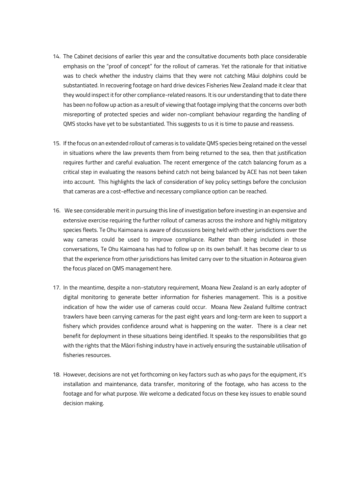- 14. The Cabinet decisions of earlier this year and the consultative documents both place considerable emphasis on the "proof of concept" for the rollout of cameras. Yet the rationale for that initiative was to check whether the industry claims that they were not catching Māui dolphins could be substantiated. In recovering footage on hard drive devices Fisheries New Zealand made it clear that they would inspect it for other compliance-related reasons. It is our understanding that to date there has been no follow up action as a result of viewing that footage implying that the concerns over both misreporting of protected species and wider non-compliant behaviour regarding the handling of QMS stocks have yet to be substantiated. This suggests to us it is time to pause and reassess.
- 15. If the focus on an extended rollout of cameras is to validate QMS species being retained on the vessel in situations where the law prevents them from being returned to the sea, then that justification requires further and careful evaluation. The recent emergence of the catch balancing forum as a critical step in evaluating the reasons behind catch not being balanced by ACE has not been taken into account. This highlights the lack of consideration of key policy settings before the conclusion that cameras are a cost-effective and necessary compliance option can be reached.
- 16. We see considerable merit in pursuing this line of investigation before investing in an expensive and extensive exercise requiring the further rollout of cameras across the inshore and highly mitigatory species fleets. Te Ohu Kaimoana is aware of discussions being held with other jurisdictions over the way cameras could be used to improve compliance. Rather than being included in those conversations, Te Ohu Kaimoana has had to follow up on its own behalf. It has become clear to us that the experience from other jurisdictions has limited carry over to the situation in Aotearoa given the focus placed on QMS management here.
- 17. In the meantime, despite a non-statutory requirement, Moana New Zealand is an early adopter of digital monitoring to generate better information for fisheries management. This is a positive indication of how the wider use of cameras could occur. Moana New Zealand fulltime contract trawlers have been carrying cameras for the past eight years and long-term are keen to support a fishery which provides confidence around what is happening on the water. There is a clear net benefit for deployment in these situations being identified. It speaks to the responsibilities that go with the rights that the Māori fishing industry have in actively ensuring the sustainable utilisation of fisheries resources.
- 18. However, decisions are not yet forthcoming on key factors such as who pays for the equipment, it's installation and maintenance, data transfer, monitoring of the footage, who has access to the footage and for what purpose. We welcome a dedicated focus on these key issues to enable sound decision making.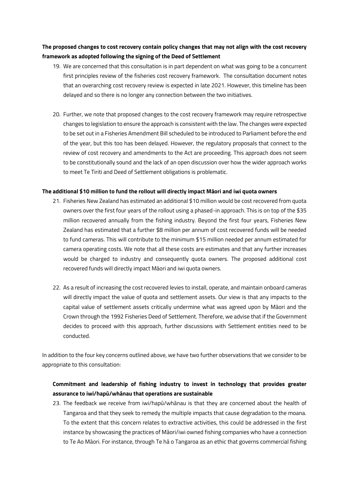## **The proposed changes to cost recovery contain policy changes that may not align with the cost recovery framework as adopted following the signing of the Deed of Settlement**

- 19. We are concerned that this consultation is in part dependent on what was going to be a concurrent first principles review of the fisheries cost recovery framework. The consultation document notes that an overarching cost recovery review is expected in late 2021. However, this timeline has been delayed and so there is no longer any connection between the two initiatives.
- 20. Further, we note that proposed changes to the cost recovery framework may require retrospective changes to legislation to ensure the approach is consistent with the law. The changes were expected to be set out in a Fisheries Amendment Bill scheduled to be introduced to Parliament before the end of the year, but this too has been delayed. However, the regulatory proposals that connect to the review of cost recovery and amendments to the Act are proceeding. This approach does not seem to be constitutionally sound and the lack of an open discussion over how the wider approach works to meet Te Tiriti and Deed of Settlement obligations is problematic.

#### **The additional \$10 million to fund the rollout will directly impact Māori and iwi quota owners**

- 21. Fisheries New Zealand has estimated an additional \$10 million would be cost recovered from quota owners over the first four years of the rollout using a phased-in approach. This is on top of the \$35 million recovered annually from the fishing industry. Beyond the first four years, Fisheries New Zealand has estimated that a further \$8 million per annum of cost recovered funds will be needed to fund cameras. This will contribute to the minimum \$15 million needed per annum estimated for camera operating costs. We note that all these costs are estimates and that any further increases would be charged to industry and consequently quota owners. The proposed additional cost recovered funds will directly impact Māori and iwi quota owners.
- 22. As a result of increasing the cost recovered levies to install, operate, and maintain onboard cameras will directly impact the value of quota and settlement assets. Our view is that any impacts to the capital value of settlement assets critically undermine what was agreed upon by Māori and the Crown through the 1992 Fisheries Deed of Settlement. Therefore, we advise that if the Government decides to proceed with this approach, further discussions with Settlement entities need to be conducted.

In addition to the four key concerns outlined above, we have two further observations that we consider to be appropriate to this consultation:

## **Commitment and leadership of fishing industry to invest in technology that provides greater assurance to iwi/hapū/whānau that operations are sustainable**

23. The feedback we receive from iwi/hapū/whānau is that they are concerned about the health of Tangaroa and that they seek to remedy the multiple impacts that cause degradation to the moana. To the extent that this concern relates to extractive activities, this could be addressed in the first instance by showcasing the practices of Māori/iwi owned fishing companies who have a connection to Te Ao Māori. For instance, through Te hā o Tangaroa as an ethic that governs commercial fishing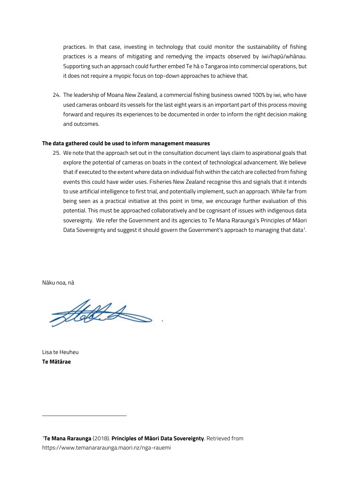practices. In that case, investing in technology that could monitor the sustainability of fishing practices is a means of mitigating and remedying the impacts observed by iwi/hapū/whānau. Supporting such an approach could further embed Te hā o Tangaroa into commercial operations, but it does not require a myopic focus on top-down approaches to achieve that.

24. The leadership of Moana New Zealand, a commercial fishing business owned 100% by iwi, who have used cameras onboard its vessels for the last eight years is an important part of this process moving forward and requires its experiences to be documented in order to inform the right decision making and outcomes.

#### **The data gathered could be used to inform management measures**

25. We note that the approach set out in the consultation document lays claim to aspirational goals that explore the potential of cameras on boats in the context of technological advancement. We believe that if executed to the extent where data on individual fish within the catch are collected from fishing events this could have wider uses. Fisheries New Zealand recognise this and signals that it intends to use artificial intelligence to first trial, and potentially implement, such an approach. While far from being seen as a practical initiative at this point in time, we encourage further evaluation of this potential. This must be approached collaboratively and be cognisant of issues with indigenous data sovereignty. We refer the Government and its agencies to Te Mana Raraunga's Principles of Māori Data Sovereignty and suggest it should govern the Government's approach to managing that data $^1$ .

Nāku noa, nā

ttelled

Lisa te Heuheu **Te Mātārae**

<sup>1</sup>**Te Mana Raraunga** (2018). **Principles of Māori Data Sovereignty**. Retrieved from https://www.temanararaunga.maori.nz/nga-rauemi